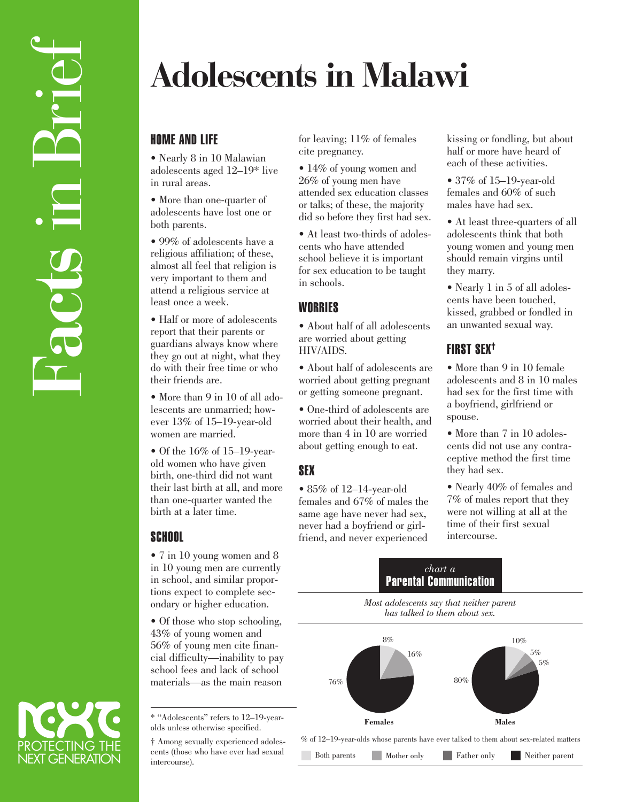# **Adolescents in Malawi**

## HOME AND LIFE

• Nearly 8 in 10 Malawian adolescents aged 12–19\* live in rural areas.

• More than one-quarter of adolescents have lost one or both parents.

• 99% of adolescents have a religious affiliation; of these, almost all feel that religion is very important to them and attend a religious service at least once a week.

• Half or more of adolescents report that their parents or guardians always know where they go out at night, what they do with their free time or who their friends are.

• More than 9 in 10 of all adolescents are unmarried; however 13% of 15–19-year-old women are married.

• Of the 16% of 15–19-yearold women who have given birth, one-third did not want their last birth at all, and more than one-quarter wanted the birth at a later time.

## **SCHOOL**

• 7 in 10 young women and 8 in 10 young men are currently in school, and similar proportions expect to complete secondary or higher education.

• Of those who stop schooling, 43% of young women and 56% of young men cite financial difficulty—inability to pay school fees and lack of school materials—as the main reason

\* "Adolescents" refers to 12–19-yearolds unless otherwise specified.

† Among sexually experienced adolescents (those who have ever had sexual intercourse).

for leaving; 11% of females cite pregnancy.

• 14% of young women and 26% of young men have attended sex education classes or talks; of these, the majority did so before they first had sex.

• At least two-thirds of adolescents who have attended school believe it is important for sex education to be taught in schools.

## **WORRIES**

• About half of all adolescents are worried about getting HIV/AIDS.

• About half of adolescents are worried about getting pregnant or getting someone pregnant.

• One-third of adolescents are worried about their health, and more than 4 in 10 are worried about getting enough to eat.

# SEX

• 85% of 12-14-year-old females and 67% of males the same age have never had sex, never had a boyfriend or girlfriend, and never experienced

kissing or fondling, but about half or more have heard of each of these activities.

• 37% of 15–19-year-old females and 60% of such males have had sex.

• At least three-quarters of all adolescents think that both young women and young men should remain virgins until they marry.

• Nearly 1 in 5 of all adolescents have been touched, kissed, grabbed or fondled in an unwanted sexual way.

## FIRST SEX†

• More than 9 in 10 female adolescents and 8 in 10 males had sex for the first time with a boyfriend, girlfriend or spouse.

• More than 7 in 10 adolescents did not use any contraceptive method the first time they had sex.

• Nearly 40% of females and 7% of males report that they were not willing at all at the time of their first sexual intercourse.

### *chart a* Parental Communication

*Most adolescents say that neither parent has talked to them about sex.*



% of 12–19-year-olds whose parents have ever talked to them about sex-related matters

Both parents Mother only Father only Neither parent

PROTECTING THE<br>NEXT GENERATION